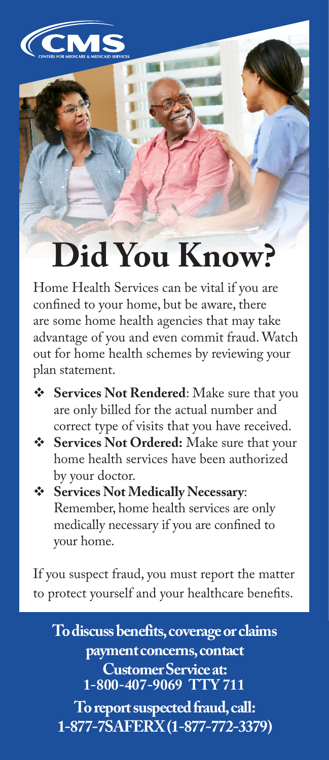

## **Did You Know?**

Home Health Services can be vital if you are confined to your home, but be aware, there are some home health agencies that may take advantage of you and even commit fraud. Watch out for home health schemes by reviewing your plan statement.

- **Services Not Rendered**: Make sure that you are only billed for the actual number and correct type of visits that you have received.
- **Services Not Ordered:** Make sure that your home health services have been authorized by your doctor.
- **Services Not Medically Necessary**: Remember, home health services are only medically necessary if you are confined to your home.

If you suspect fraud, you must report the matter to protect yourself and your healthcare benefits.

**To discuss benefits, coverage or claims payment concerns, contact Customer Service at: 1-800-407-9069 TTY 711**

**To report suspected fraud, call: 1-877-7SAFERX (1-877-772-3379)**